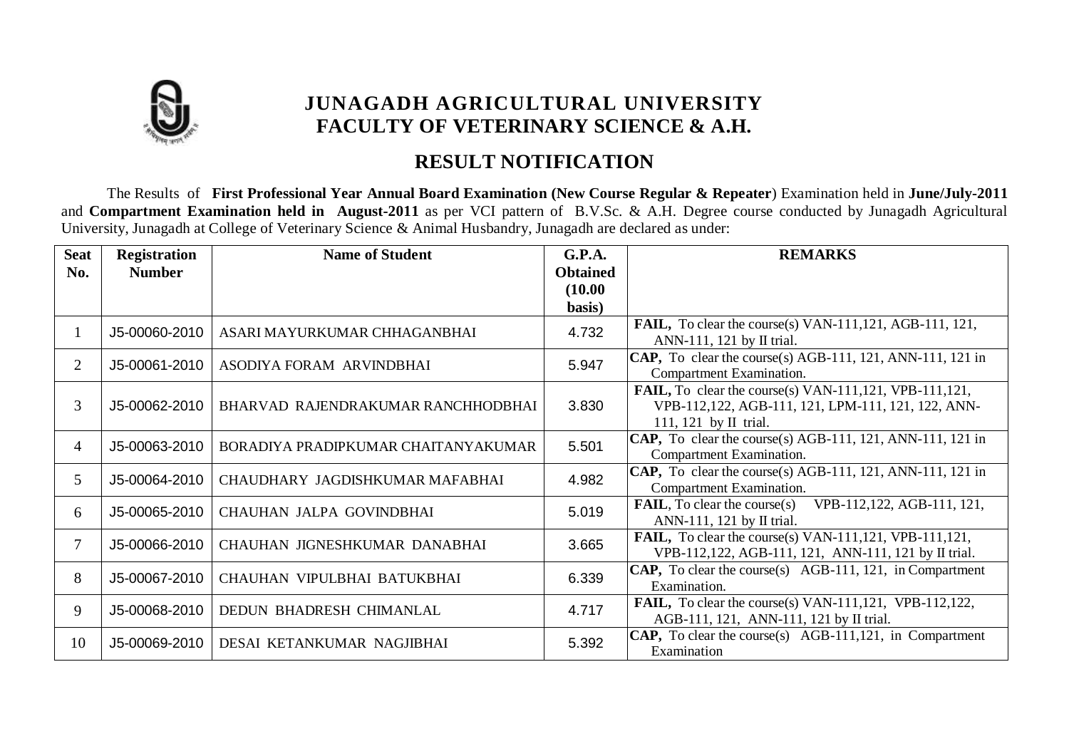

## **RESULT NOTIFICATION**

The Results of **First Professional Year Annual Board Examination (New Course Regular & Repeater**) Examination held in **June/July-2011**  and **Compartment Examination held in August-2011** as per VCI pattern of B.V.Sc. & A.H. Degree course conducted by Junagadh Agricultural University, Junagadh at College of Veterinary Science & Animal Husbandry, Junagadh are declared as under:

| <b>Seat</b>    | <b>Registration</b> | <b>Name of Student</b>              | G.P.A.          | <b>REMARKS</b>                                                                                                                              |
|----------------|---------------------|-------------------------------------|-----------------|---------------------------------------------------------------------------------------------------------------------------------------------|
| No.            | <b>Number</b>       |                                     | <b>Obtained</b> |                                                                                                                                             |
|                |                     |                                     | (10.00)         |                                                                                                                                             |
|                |                     |                                     | basis)          |                                                                                                                                             |
| 1              | J5-00060-2010       | ASARI MAYURKUMAR CHHAGANBHAI        | 4.732           | <b>FAIL,</b> To clear the course(s) VAN-111,121, AGB-111, 121,<br>ANN-111, 121 by II trial.                                                 |
| 2              | J5-00061-2010       | ASODIYA FORAM ARVINDBHAI            | 5.947           | CAP, To clear the course(s) AGB-111, 121, ANN-111, 121 in<br>Compartment Examination.                                                       |
| $\overline{3}$ | J5-00062-2010       | BHARVAD RAJENDRAKUMAR RANCHHODBHAI  | 3.830           | FAIL, To clear the course(s) VAN-111,121, VPB-111,121,<br>VPB-112,122, AGB-111, 121, LPM-111, 121, 122, ANN-<br>111, 121 by $\rm II$ trial. |
| 4              | J5-00063-2010       | BORADIYA PRADIPKUMAR CHAITANYAKUMAR | 5.501           | CAP, To clear the course(s) AGB-111, 121, ANN-111, 121 in<br>Compartment Examination.                                                       |
| 5              | J5-00064-2010       | CHAUDHARY JAGDISHKUMAR MAFABHAI     | 4.982           | CAP, To clear the course(s) AGB-111, 121, ANN-111, 121 in<br>Compartment Examination.                                                       |
| 6              | J5-00065-2010       | CHAUHAN JALPA GOVINDBHAI            | 5.019           | $\textbf{FAIL}, \text{To clear the course(s)}$<br>VPB-112,122, AGB-111, 121,<br>ANN-111, 121 by $\text{II}$ trial.                          |
| 7              | J5-00066-2010       | CHAUHAN JIGNESHKUMAR DANABHAI       | 3.665           | FAIL, To clear the course(s) VAN-111,121, VPB-111,121,<br>VPB-112,122, AGB-111, 121, ANN-111, 121 by II trial.                              |
| 8              | J5-00067-2010       | CHAUHAN VIPULBHAI BATUKBHAI         | 6.339           | <b>CAP,</b> To clear the course(s) AGB-111, 121, in Compartment<br>Examination.                                                             |
| 9              | J5-00068-2010       | DEDUN BHADRESH CHIMANLAL            | 4.717           | FAIL, To clear the course(s) VAN-111,121, VPB-112,122,<br>AGB-111, 121, ANN-111, 121 by II trial.                                           |
| 10             | J5-00069-2010       | DESAI KETANKUMAR NAGJIBHAI          | 5.392           | <b>CAP,</b> To clear the course(s) AGB-111,121, in Compartment<br>Examination                                                               |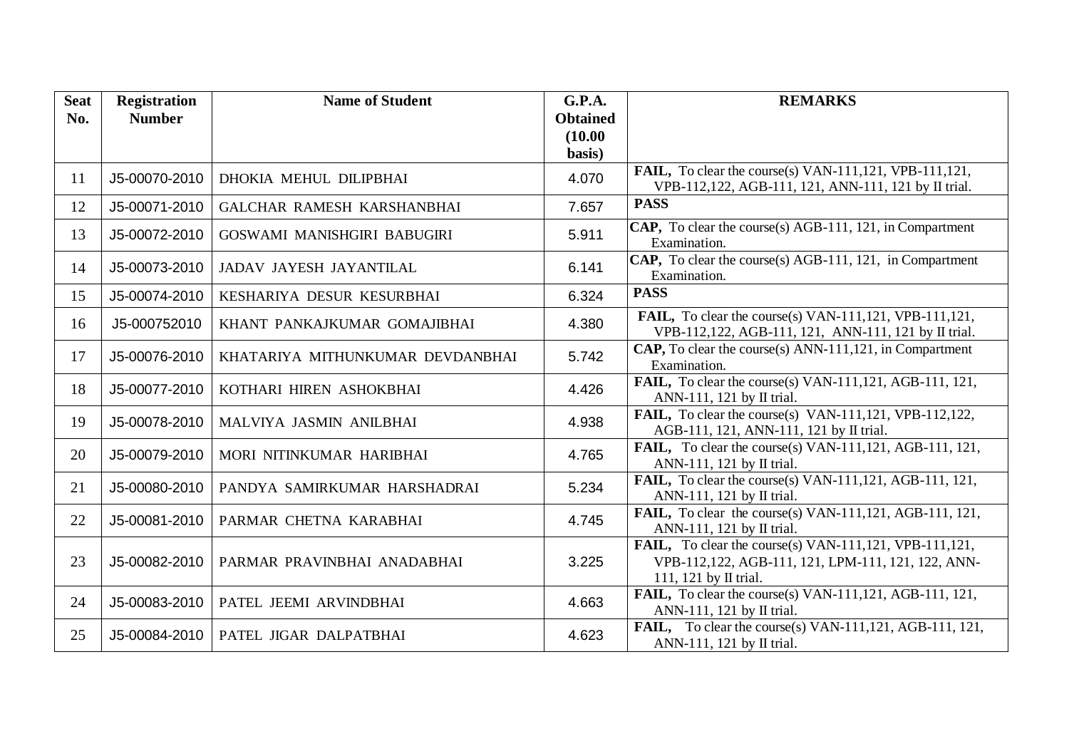| <b>Seat</b> | <b>Registration</b> | <b>Name of Student</b>           | <b>G.P.A.</b>   | <b>REMARKS</b>                                                                                                                        |
|-------------|---------------------|----------------------------------|-----------------|---------------------------------------------------------------------------------------------------------------------------------------|
| No.         | <b>Number</b>       |                                  | <b>Obtained</b> |                                                                                                                                       |
|             |                     |                                  | (10.00)         |                                                                                                                                       |
|             |                     |                                  | basis)          | FAIL, To clear the course(s) VAN-111,121, VPB-111,121,                                                                                |
| 11          | J5-00070-2010       | DHOKIA MEHUL DILIPBHAI           | 4.070           | VPB-112,122, AGB-111, 121, ANN-111, 121 by II trial.                                                                                  |
| 12          | J5-00071-2010       | GALCHAR RAMESH KARSHANBHAI       | 7.657           | <b>PASS</b>                                                                                                                           |
| 13          | J5-00072-2010       | GOSWAMI MANISHGIRI BABUGIRI      | 5.911           | CAP, To clear the course(s) AGB-111, 121, in Compartment<br>Examination.                                                              |
| 14          | J5-00073-2010       | JADAV JAYESH JAYANTILAL          | 6.141           | CAP, To clear the course(s) AGB-111, 121, in Compartment<br>Examination.                                                              |
| 15          | J5-00074-2010       | KESHARIYA DESUR KESURBHAI        | 6.324           | <b>PASS</b>                                                                                                                           |
| 16          | J5-000752010        | KHANT PANKAJKUMAR GOMAJIBHAI     | 4.380           | FAIL, To clear the course(s) VAN-111,121, VPB-111,121,<br>VPB-112,122, AGB-111, 121, ANN-111, 121 by II trial.                        |
| 17          | J5-00076-2010       | KHATARIYA MITHUNKUMAR DEVDANBHAI | 5.742           | <b>CAP,</b> To clear the course(s) ANN-111,121, in Compartment<br>Examination.                                                        |
| 18          | J5-00077-2010       | KOTHARI HIREN ASHOKBHAI          | 4.426           | <b>FAIL,</b> To clear the course(s) VAN-111, 121, AGB-111, 121,<br>ANN-111, 121 by II trial.                                          |
| 19          | J5-00078-2010       | MALVIYA JASMIN ANILBHAI          | 4.938           | FAIL, To clear the course(s) VAN-111,121, VPB-112,122,<br>AGB-111, 121, ANN-111, 121 by II trial.                                     |
| 20          | J5-00079-2010       | MORI NITINKUMAR HARIBHAI         | 4.765           | FAIL, To clear the course(s) VAN-111,121, AGB-111, 121,<br>ANN-111, 121 by II trial.                                                  |
| 21          | J5-00080-2010       | PANDYA SAMIRKUMAR HARSHADRAI     | 5.234           | <b>FAIL,</b> To clear the course(s) VAN-111, 121, AGB-111, 121,<br>ANN-111, 121 by II trial.                                          |
| 22          | J5-00081-2010       | PARMAR CHETNA KARABHAI           | 4.745           | FAIL, To clear the course(s) VAN-111,121, AGB-111, 121,<br>ANN-111, 121 by II trial.                                                  |
| 23          | J5-00082-2010       | PARMAR PRAVINBHAI ANADABHAI      | 3.225           | FAIL, To clear the course(s) VAN-111,121, VPB-111,121,<br>VPB-112,122, AGB-111, 121, LPM-111, 121, 122, ANN-<br>111, 121 by II trial. |
| 24          | J5-00083-2010       | PATEL JEEMI ARVINDBHAI           | 4.663           | FAIL, To clear the course(s) VAN-111,121, AGB-111, 121,<br>ANN-111, 121 by II trial.                                                  |
| 25          | J5-00084-2010       | PATEL JIGAR DALPATBHAI           | 4.623           | <b>FAIL,</b> To clear the course(s) VAN-111,121, AGB-111, 121,<br>ANN-111, 121 by II trial.                                           |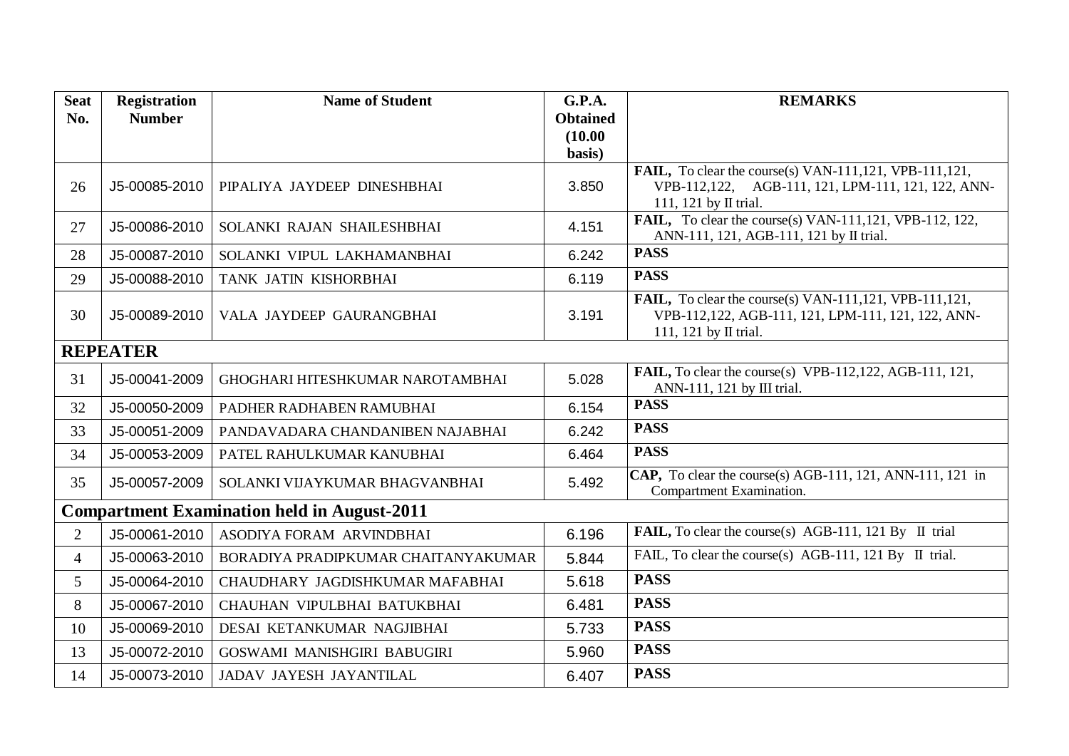| <b>Seat</b>     | <b>Registration</b> | <b>Name of Student</b>                             | <b>G.P.A.</b>   | <b>REMARKS</b>                                                                        |
|-----------------|---------------------|----------------------------------------------------|-----------------|---------------------------------------------------------------------------------------|
| No.             | <b>Number</b>       |                                                    | <b>Obtained</b> |                                                                                       |
|                 |                     |                                                    | (10.00)         |                                                                                       |
|                 |                     |                                                    | basis)          |                                                                                       |
|                 |                     | PIPALIYA JAYDEEP DINESHBHAI                        | 3.850           | FAIL, To clear the course(s) VAN-111,121, VPB-111,121,                                |
| 26              | J5-00085-2010       |                                                    |                 | VPB-112,122, AGB-111, 121, LPM-111, 121, 122, ANN-<br>111, 121 by II trial.           |
|                 |                     |                                                    |                 | <b>FAIL,</b> To clear the course(s) VAN-111,121, VPB-112, 122,                        |
| 27              | J5-00086-2010       | SOLANKI RAJAN SHAILESHBHAI                         | 4.151           | ANN-111, 121, AGB-111, 121 by II trial.                                               |
| 28              | J5-00087-2010       | SOLANKI VIPUL LAKHAMANBHAI                         | 6.242           | <b>PASS</b>                                                                           |
| 29              | J5-00088-2010       | TANK JATIN KISHORBHAI                              | 6.119           | <b>PASS</b>                                                                           |
|                 |                     |                                                    |                 | <b>FAIL,</b> To clear the course(s) VAN-111,121, VPB-111,121,                         |
| 30              | J5-00089-2010       | VALA JAYDEEP GAURANGBHAI                           | 3.191           | VPB-112,122, AGB-111, 121, LPM-111, 121, 122, ANN-                                    |
|                 |                     |                                                    |                 | 111, 121 by II trial.                                                                 |
|                 | <b>REPEATER</b>     |                                                    |                 |                                                                                       |
| 31              | J5-00041-2009       | GHOGHARI HITESHKUMAR NAROTAMBHAI                   | 5.028           | FAIL, To clear the course(s) VPB-112,122, AGB-111, 121,<br>ANN-111, 121 by III trial. |
| 32              | J5-00050-2009       | PADHER RADHABEN RAMUBHAI                           | 6.154           | <b>PASS</b>                                                                           |
| 33              | J5-00051-2009       | PANDAVADARA CHANDANIBEN NAJABHAI                   | 6.242           | <b>PASS</b>                                                                           |
| 34              | J5-00053-2009       | PATEL RAHULKUMAR KANUBHAI                          | 6.464           | <b>PASS</b>                                                                           |
| 35              | J5-00057-2009       | SOLANKI VIJAYKUMAR BHAGVANBHAI                     | 5.492           | CAP, To clear the course(s) AGB-111, 121, ANN-111, 121 in<br>Compartment Examination. |
|                 |                     | <b>Compartment Examination held in August-2011</b> |                 |                                                                                       |
| $\overline{2}$  | J5-00061-2010       | ASODIYA FORAM ARVINDBHAI                           | 6.196           | <b>FAIL,</b> To clear the course(s) AGB-111, 121 By II trial                          |
| $\overline{4}$  | J5-00063-2010       | BORADIYA PRADIPKUMAR CHAITANYAKUMAR                | 5.844           | FAIL, To clear the course(s) AGB-111, 121 By II trial.                                |
|                 |                     |                                                    |                 |                                                                                       |
| $5\overline{)}$ | J5-00064-2010       | CHAUDHARY JAGDISHKUMAR MAFABHAI                    | 5.618           | <b>PASS</b>                                                                           |
| 8               | J5-00067-2010       | CHAUHAN VIPULBHAI BATUKBHAI                        | 6.481           | <b>PASS</b>                                                                           |
| 10              | J5-00069-2010       | DESAI KETANKUMAR NAGJIBHAI                         | 5.733           | <b>PASS</b>                                                                           |
| 13              | J5-00072-2010       | GOSWAMI MANISHGIRI BABUGIRI                        | 5.960           | <b>PASS</b>                                                                           |
| 14              | J5-00073-2010       | JADAV JAYESH JAYANTILAL                            | 6.407           | <b>PASS</b>                                                                           |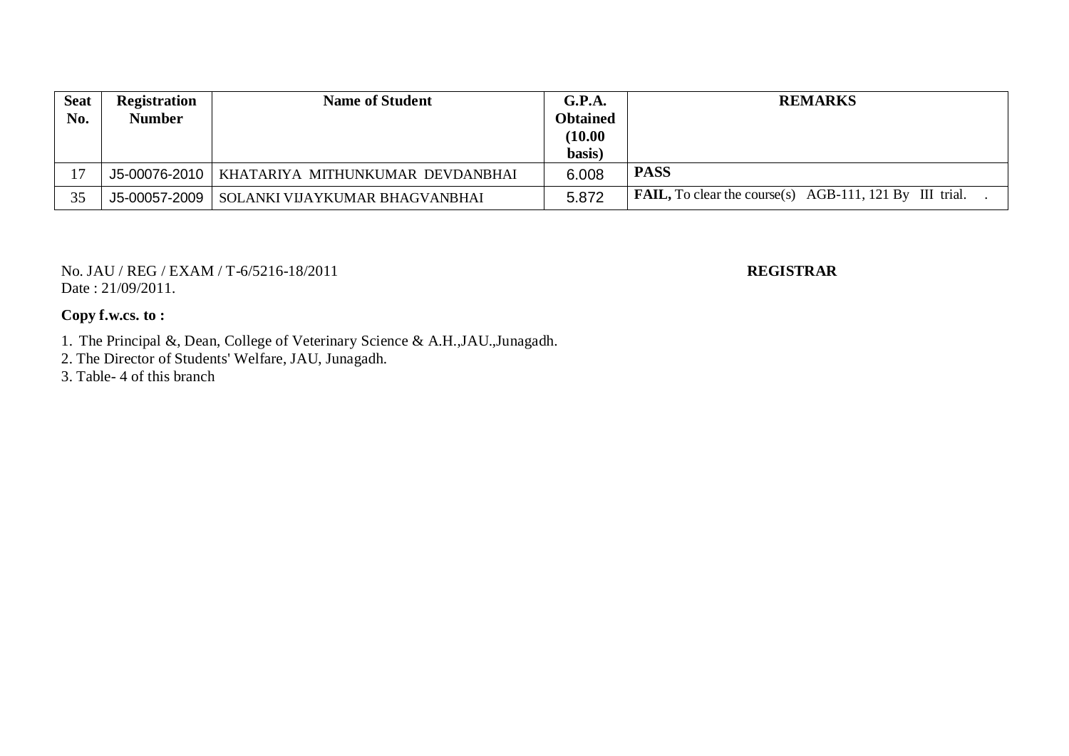| <b>Seat</b> | <b>Registration</b> | <b>Name of Student</b>           | G.P.A.          | <b>REMARKS</b>                                                 |
|-------------|---------------------|----------------------------------|-----------------|----------------------------------------------------------------|
| No.         | <b>Number</b>       |                                  | <b>Obtained</b> |                                                                |
|             |                     |                                  | (10.00)         |                                                                |
|             |                     |                                  | basis)          |                                                                |
| 17          | J5-00076-2010       | KHATARIYA MITHUNKUMAR DEVDANBHAI | 6.008           | <b>PASS</b>                                                    |
| 35          | $J5-00057-2009$     | SOLANKI VIJAYKUMAR BHAGVANBHAI   | 5.872           | <b>FAIL,</b> To clear the course(s) AGB-111, 121 By III trial. |

No. JAU / REG / EXAM / T-6/5216-18/2011 **REGISTRAR** Date: 21/09/2011.

### **Copy f.w.cs. to :**

1. The Principal &, Dean, College of Veterinary Science & A.H.,JAU.,Junagadh.

2. The Director of Students' Welfare, JAU, Junagadh.

3. Table- 4 of this branch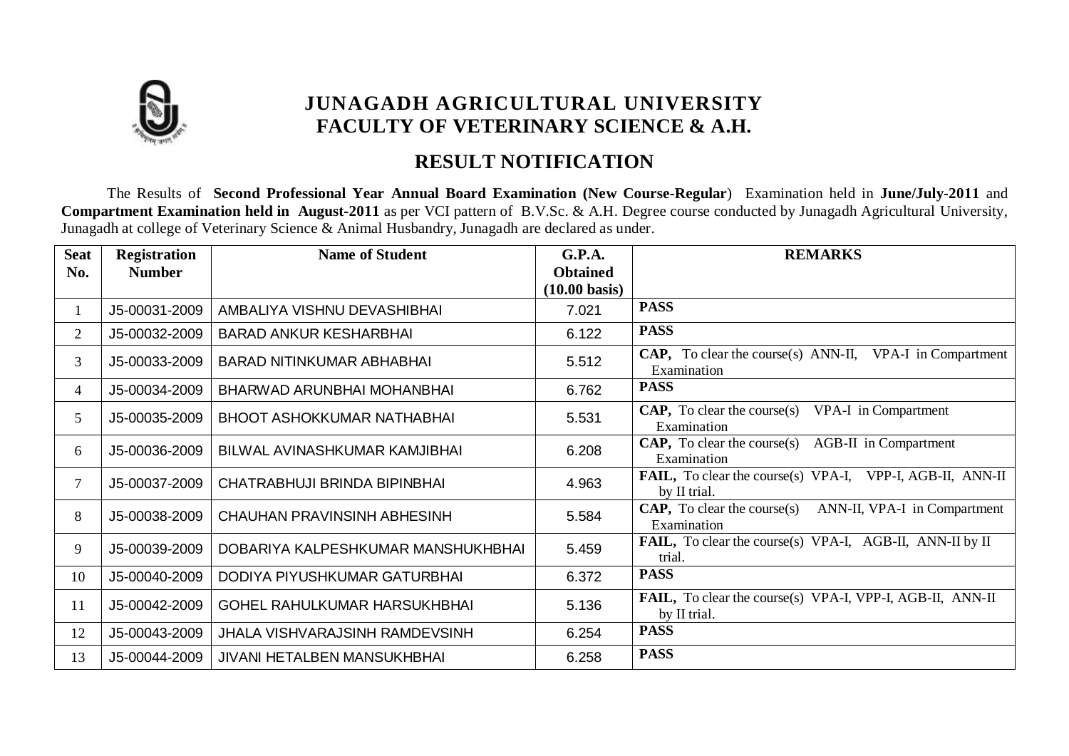

## **RESULT NOTIFICATION**

The Results of **Second Professional Year Annual Board Examination (New Course-Regular**) Examination held in **June/July-2011** and **Compartment Examination held in August-2011** as per VCI pattern of B.V.Sc. & A.H. Degree course conducted by Junagadh Agricultural University, Junagadh at college of Veterinary Science & Animal Husbandry, Junagadh are declared as under.

| <b>Seat</b>    | <b>Registration</b> | <b>Name of Student</b>                | G.P.A.                  | <b>REMARKS</b>                                                                   |
|----------------|---------------------|---------------------------------------|-------------------------|----------------------------------------------------------------------------------|
| No.            | <b>Number</b>       |                                       | <b>Obtained</b>         |                                                                                  |
|                |                     |                                       | $(10.00 \text{ basis})$ |                                                                                  |
| 1              | J5-00031-2009       | AMBALIYA VISHNU DEVASHIBHAI           | 7.021                   | <b>PASS</b>                                                                      |
| $\overline{2}$ | J5-00032-2009       | <b>BARAD ANKUR KESHARBHAI</b>         | 6.122                   | <b>PASS</b>                                                                      |
| $\overline{3}$ | J5-00033-2009       | <b>BARAD NITINKUMAR ABHABHAI</b>      | 5.512                   | <b>CAP,</b> To clear the course(s) ANN-II, VPA-I in Compartment<br>Examination   |
| $\overline{4}$ | J5-00034-2009       | BHARWAD ARUNBHAI MOHANBHAI            | 6.762                   | <b>PASS</b>                                                                      |
| 5              | J5-00035-2009       | <b>BHOOT ASHOKKUMAR NATHABHAI</b>     | 5.531                   | <b>CAP,</b> To clear the course(s) VPA-I in Compartment<br>Examination           |
| 6              | J5-00036-2009       | BILWAL AVINASHKUMAR KAMJIBHAI         | 6.208                   | <b>CAP,</b> To clear the course(s) AGB-II in Compartment<br>Examination          |
| 7              | J5-00037-2009       | CHATRABHUJI BRINDA BIPINBHAI          | 4.963                   | FAIL, To clear the course(s) VPA-I, VPP-I, AGB-II, ANN-II<br>by II trial.        |
| 8              | J5-00038-2009       | <b>CHAUHAN PRAVINSINH ABHESINH</b>    | 5.584                   | <b>CAP,</b> To clear the course(s) ANN-II, VPA-I in Compartment<br>Examination   |
| 9              | J5-00039-2009       | DOBARIYA KALPESHKUMAR MANSHUKHBHAI    | 5.459                   | FAIL, To clear the course(s) VPA-I, AGB-II, ANN-II by II<br>trial.               |
| 10             | J5-00040-2009       | DODIYA PIYUSHKUMAR GATURBHAI          | 6.372                   | <b>PASS</b>                                                                      |
| 11             | J5-00042-2009       | GOHEL RAHULKUMAR HARSUKHBHAI          | 5.136                   | <b>FAIL,</b> To clear the course(s) VPA-I, VPP-I, AGB-II, ANN-II<br>by II trial. |
| 12             | J5-00043-2009       | <b>JHALA VISHVARAJSINH RAMDEVSINH</b> | 6.254                   | <b>PASS</b>                                                                      |
| 13             | J5-00044-2009       | <b>JIVANI HETALBEN MANSUKHBHAI</b>    | 6.258                   | <b>PASS</b>                                                                      |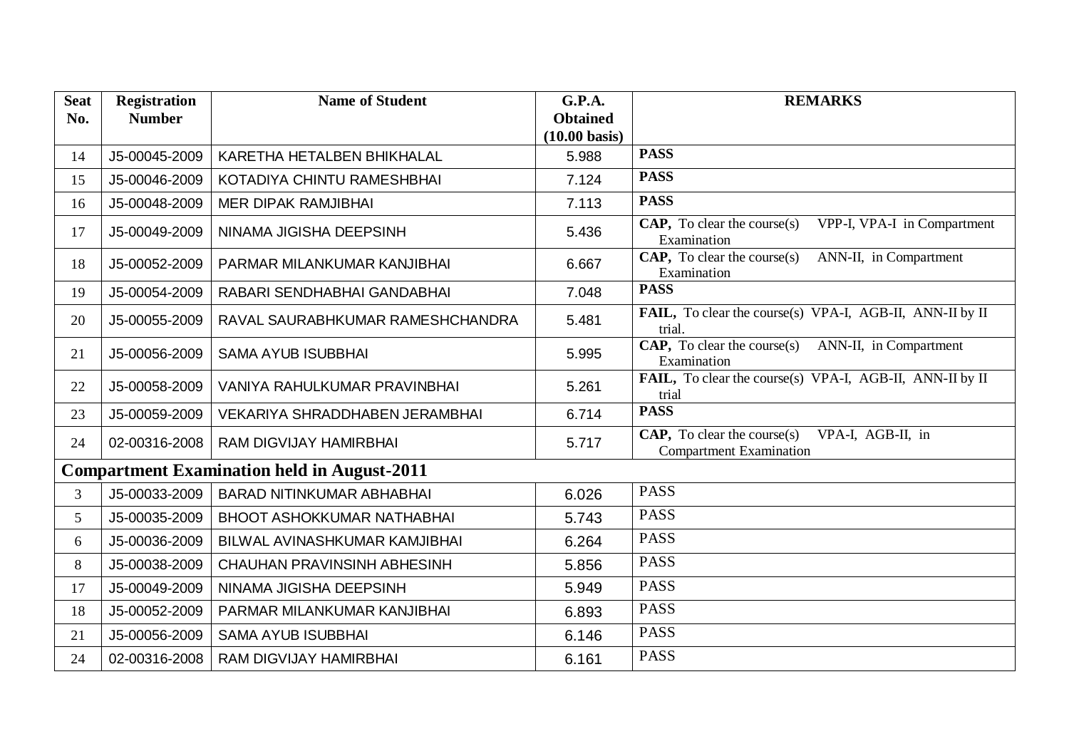| <b>Seat</b> | <b>Registration</b> | <b>Name of Student</b>                             | G.P.A.                  | <b>REMARKS</b>                                                                     |
|-------------|---------------------|----------------------------------------------------|-------------------------|------------------------------------------------------------------------------------|
| No.         | <b>Number</b>       |                                                    | <b>Obtained</b>         |                                                                                    |
|             |                     |                                                    | $(10.00 \text{ basis})$ |                                                                                    |
| 14          | J5-00045-2009       | KARETHA HETALBEN BHIKHALAL                         | 5.988                   | <b>PASS</b>                                                                        |
| 15          | J5-00046-2009       | KOTADIYA CHINTU RAMESHBHAI                         | 7.124                   | <b>PASS</b>                                                                        |
| 16          | J5-00048-2009       | <b>MER DIPAK RAMJIBHAI</b>                         | 7.113                   | <b>PASS</b>                                                                        |
| 17          | J5-00049-2009       | NINAMA JIGISHA DEEPSINH                            | 5.436                   | VPP-I, VPA-I in Compartment<br>CAP, To clear the course(s)<br>Examination          |
| 18          | J5-00052-2009       | PARMAR MILANKUMAR KANJIBHAI                        | 6.667                   | ANN-II, in Compartment<br>CAP, To clear the course(s)<br>Examination               |
| 19          | J5-00054-2009       | RABARI SENDHABHAI GANDABHAI                        | 7.048                   | <b>PASS</b>                                                                        |
| 20          | J5-00055-2009       | RAVAL SAURABHKUMAR RAMESHCHANDRA                   | 5.481                   | FAIL, To clear the course(s) VPA-I, AGB-II, ANN-II by II<br>trial.                 |
| 21          | J5-00056-2009       | <b>SAMA AYUB ISUBBHAI</b>                          | 5.995                   | <b>CAP,</b> To clear the course(s) ANN-II, in Compartment<br>Examination           |
| 22          | J5-00058-2009       | VANIYA RAHULKUMAR PRAVINBHAI                       | 5.261                   | FAIL, To clear the course(s) VPA-I, AGB-II, ANN-II by II<br>trial                  |
| 23          | J5-00059-2009       | <b>VEKARIYA SHRADDHABEN JERAMBHAI</b>              | 6.714                   | <b>PASS</b>                                                                        |
| 24          | 02-00316-2008       | <b>RAM DIGVIJAY HAMIRBHAI</b>                      | 5.717                   | CAP, To clear the course(s)<br>VPA-I, AGB-II, in<br><b>Compartment Examination</b> |
|             |                     | <b>Compartment Examination held in August-2011</b> |                         |                                                                                    |
| 3           | J5-00033-2009       | <b>BARAD NITINKUMAR ABHABHAI</b>                   | 6.026                   | <b>PASS</b>                                                                        |
| 5           | J5-00035-2009       | <b>BHOOT ASHOKKUMAR NATHABHAI</b>                  | 5.743                   | <b>PASS</b>                                                                        |
| 6           | J5-00036-2009       | BILWAL AVINASHKUMAR KAMJIBHAI                      | 6.264                   | <b>PASS</b>                                                                        |
| 8           | J5-00038-2009       | <b>CHAUHAN PRAVINSINH ABHESINH</b>                 | 5.856                   | <b>PASS</b>                                                                        |
| 17          | J5-00049-2009       | NINAMA JIGISHA DEEPSINH                            | 5.949                   | <b>PASS</b>                                                                        |
| 18          | J5-00052-2009       | PARMAR MILANKUMAR KANJIBHAI                        | 6.893                   | <b>PASS</b>                                                                        |
| 21          | J5-00056-2009       | <b>SAMA AYUB ISUBBHAI</b>                          | 6.146                   | <b>PASS</b>                                                                        |
| 24          | 02-00316-2008       | RAM DIGVIJAY HAMIRBHAI                             | 6.161                   | <b>PASS</b>                                                                        |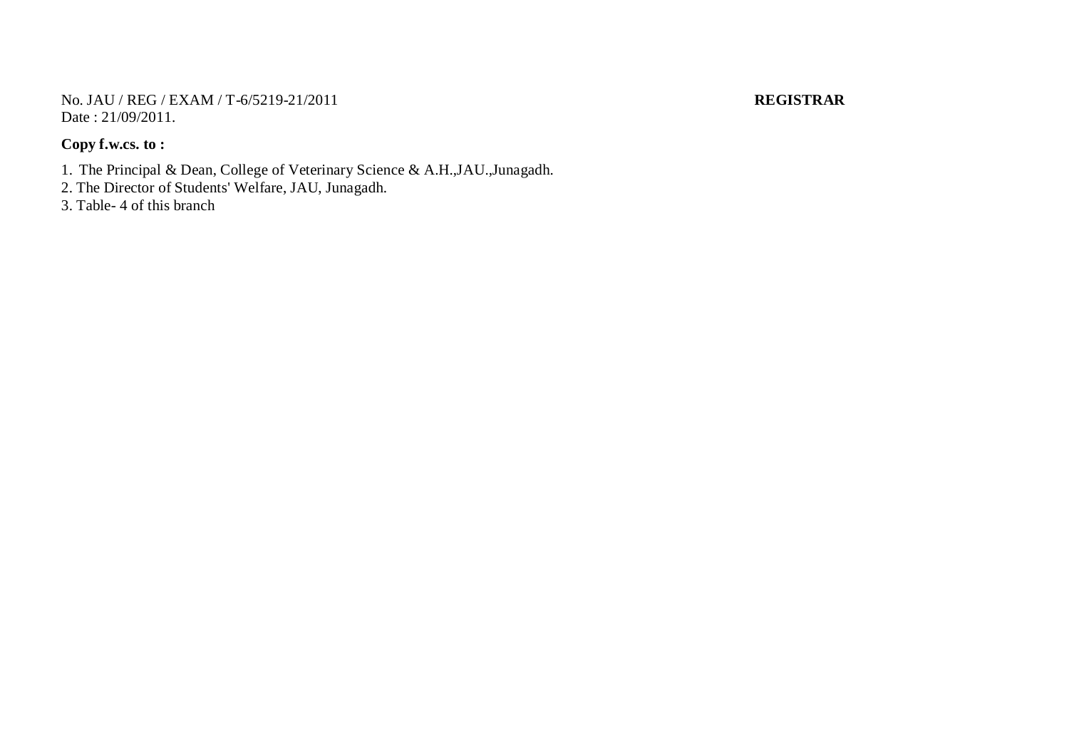No. JAU / REG / EXAM / T-6/5219-21/2011 **REGISTRAR** Date : 21/09/2011.

### **Copy f.w.cs. to :**

- 1. The Principal & Dean, College of Veterinary Science & A.H.,JAU.,Junagadh.
- 2. The Director of Students' Welfare, JAU, Junagadh.
- 3. Table- 4 of this branch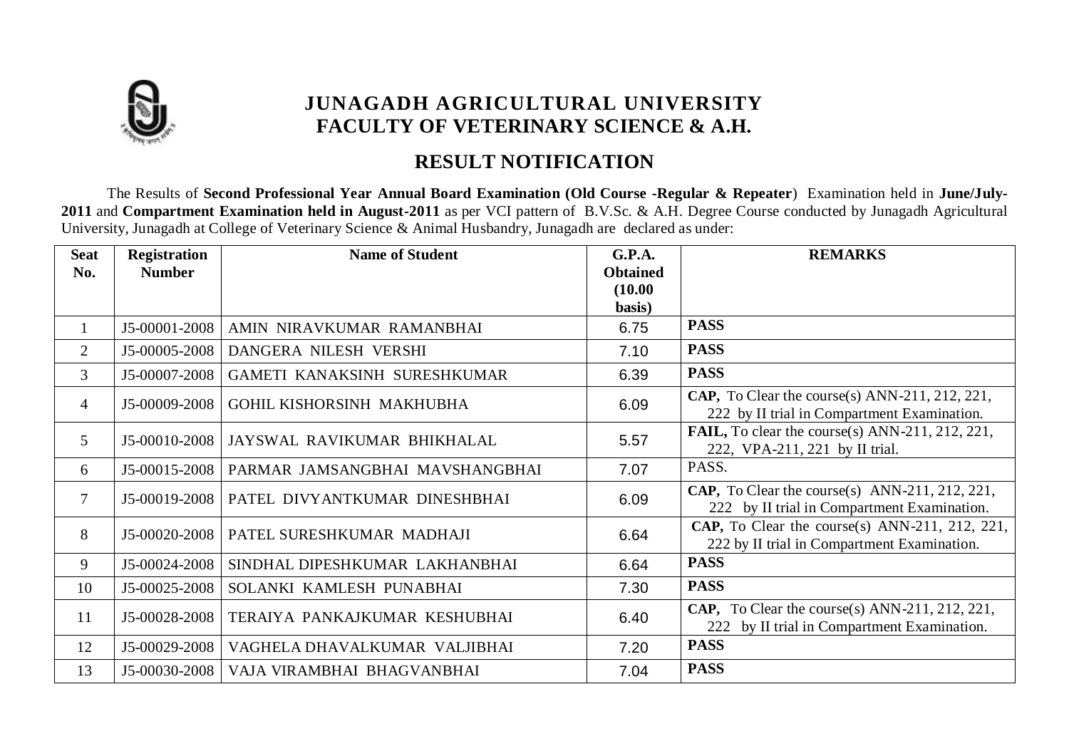

## **RESULT NOTIFICATION**

The Results of **Second Professional Year Annual Board Examination (Old Course -Regular & Repeater**) Examination held in **June/July-2011** and **Compartment Examination held in August-2011** as per VCI pattern of B.V.Sc. & A.H. Degree Course conducted by Junagadh Agricultural University, Junagadh at College of Veterinary Science & Animal Husbandry, Junagadh are declared as under:

| <b>Seat</b>    | <b>Registration</b> | <b>Name of Student</b>          | G.P.A.                     | <b>REMARKS</b>                                                                                |
|----------------|---------------------|---------------------------------|----------------------------|-----------------------------------------------------------------------------------------------|
| No.            | <b>Number</b>       |                                 | <b>Obtained</b><br>(10.00) |                                                                                               |
|                |                     |                                 | basis)                     |                                                                                               |
| $\mathbf{1}$   | J5-00001-2008       | AMIN NIRAVKUMAR RAMANBHAI       | 6.75                       | <b>PASS</b>                                                                                   |
| 2              | J5-00005-2008       | DANGERA NILESH VERSHI           | 7.10                       | <b>PASS</b>                                                                                   |
| $\mathfrak{Z}$ | J5-00007-2008       | GAMETI KANAKSINH SURESHKUMAR    | 6.39                       | <b>PASS</b>                                                                                   |
| $\overline{4}$ | J5-00009-2008       | GOHIL KISHORSINH MAKHUBHA       | 6.09                       | CAP, To Clear the course(s) ANN-211, 212, 221,<br>222 by II trial in Compartment Examination. |
| $5^{\circ}$    | J5-00010-2008       | JAYSWAL RAVIKUMAR BHIKHALAL     | 5.57                       | FAIL, To clear the course(s) ANN-211, 212, 221,<br>222, VPA-211, 221 by II trial.             |
| 6              | J5-00015-2008       | PARMAR JAMSANGBHAI MAVSHANGBHAI | 7.07                       | PASS.                                                                                         |
| $\tau$         | J5-00019-2008       | PATEL DIVYANTKUMAR DINESHBHAI   | 6.09                       | CAP, To Clear the course(s) ANN-211, 212, 221,<br>222 by II trial in Compartment Examination. |
| 8              | J5-00020-2008       | PATEL SURESHKUMAR MADHAJI       | 6.64                       | CAP, To Clear the course(s) ANN-211, 212, 221,<br>222 by II trial in Compartment Examination. |
| 9              | J5-00024-2008       | SINDHAL DIPESHKUMAR LAKHANBHAI  | 6.64                       | <b>PASS</b>                                                                                   |
| 10             | J5-00025-2008       | SOLANKI KAMLESH PUNABHAI        | 7.30                       | <b>PASS</b>                                                                                   |
| 11             | J5-00028-2008       | TERAIYA PANKAJKUMAR KESHUBHAI   | 6.40                       | CAP, To Clear the course(s) ANN-211, 212, 221,<br>222 by II trial in Compartment Examination. |
| 12             | J5-00029-2008       | VAGHELA DHAVALKUMAR VALJIBHAI   | 7.20                       | <b>PASS</b>                                                                                   |
| 13             | J5-00030-2008       | VAJA VIRAMBHAI BHAGVANBHAI      | 7.04                       | <b>PASS</b>                                                                                   |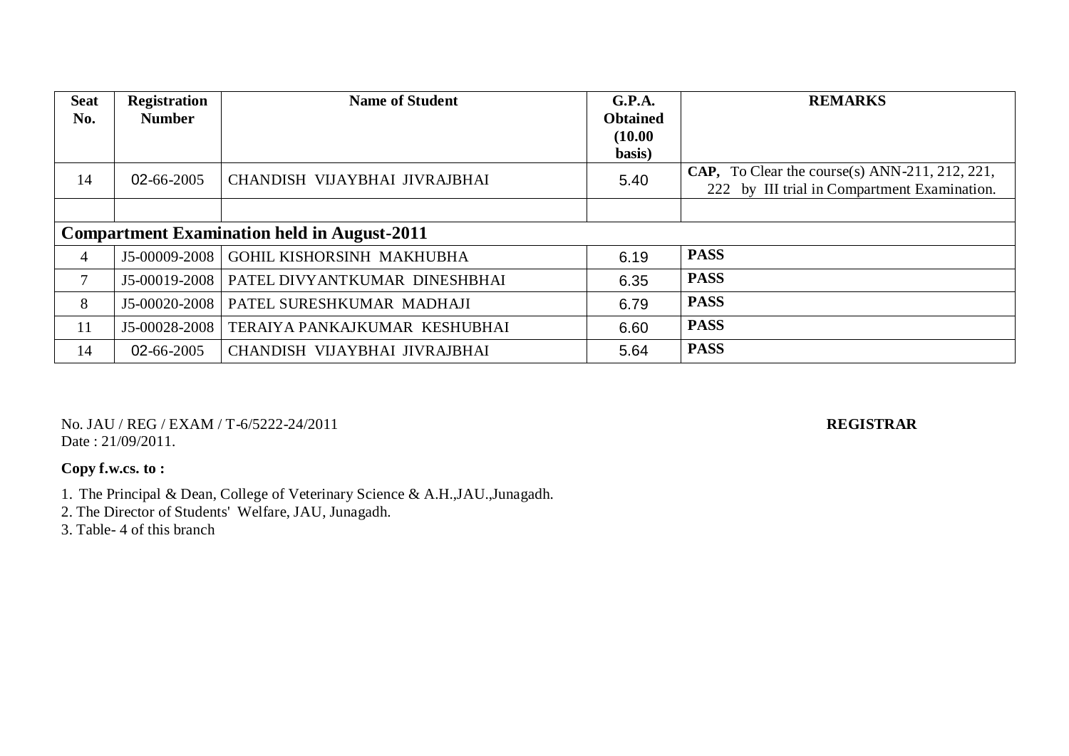| <b>Seat</b><br>No. | <b>Registration</b><br><b>Number</b>               | <b>Name of Student</b>        | G.P.A.<br><b>Obtained</b><br>(10.00)<br>basis) | <b>REMARKS</b>                                                                                 |  |  |
|--------------------|----------------------------------------------------|-------------------------------|------------------------------------------------|------------------------------------------------------------------------------------------------|--|--|
| 14                 | 02-66-2005                                         | CHANDISH VIJAYBHAI JIVRAJBHAI | 5.40                                           | CAP, To Clear the course(s) ANN-211, 212, 221,<br>222 by III trial in Compartment Examination. |  |  |
|                    |                                                    |                               |                                                |                                                                                                |  |  |
|                    | <b>Compartment Examination held in August-2011</b> |                               |                                                |                                                                                                |  |  |
| $\overline{4}$     | J5-00009-2008                                      | GOHIL KISHORSINH MAKHUBHA     | 6.19                                           | <b>PASS</b>                                                                                    |  |  |
| 7                  | J5-00019-2008                                      | PATEL DIVYANTKUMAR DINESHBHAI | 6.35                                           | <b>PASS</b>                                                                                    |  |  |
| 8                  | J5-00020-2008                                      | PATEL SURESHKUMAR MADHAJI     | 6.79                                           | <b>PASS</b>                                                                                    |  |  |
| 11                 | J5-00028-2008                                      | TERAIYA PANKAJKUMAR KESHUBHAI | 6.60                                           | <b>PASS</b>                                                                                    |  |  |
| 14                 | 02-66-2005                                         | CHANDISH VIJAYBHAI JIVRAJBHAI | 5.64                                           | <b>PASS</b>                                                                                    |  |  |

No. JAU / REG / EXAM / T-6/5222-24/2011 **REGISTRAR** Date: 21/09/2011.

### **Copy f.w.cs. to :**

1. The Principal & Dean, College of Veterinary Science & A.H.,JAU.,Junagadh.

2. The Director of Students' Welfare, JAU, Junagadh.

3. Table- 4 of this branch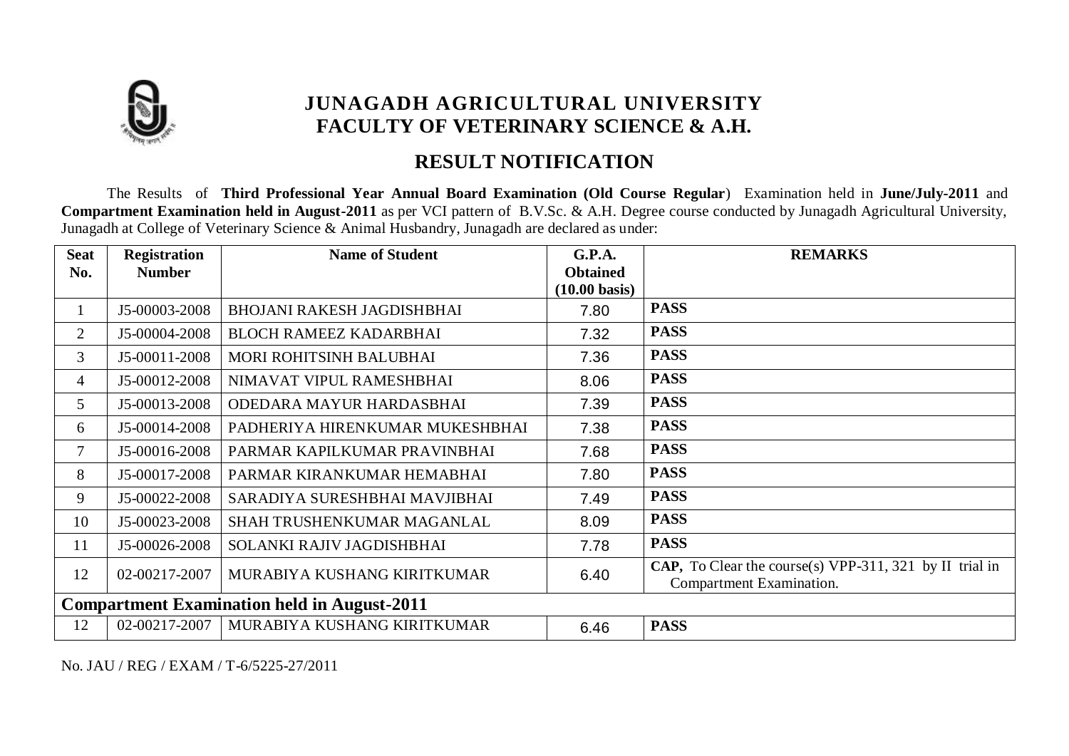

## **RESULT NOTIFICATION**

The Results of **Third Professional Year Annual Board Examination (Old Course Regular**) Examination held in **June/July-2011** and **Compartment Examination held in August-2011** as per VCI pattern of B.V.Sc. & A.H. Degree course conducted by Junagadh Agricultural University, Junagadh at College of Veterinary Science & Animal Husbandry, Junagadh are declared as under:

| <b>Seat</b><br>No. | <b>Registration</b><br><b>Number</b> | <b>Name of Student</b>                             | G.P.A.<br><b>Obtained</b> | <b>REMARKS</b>                                                                             |
|--------------------|--------------------------------------|----------------------------------------------------|---------------------------|--------------------------------------------------------------------------------------------|
|                    |                                      |                                                    | $(10.00 \text{ basis})$   |                                                                                            |
| 1                  | J5-00003-2008                        | <b>BHOJANI RAKESH JAGDISHBHAI</b>                  | 7.80                      | <b>PASS</b>                                                                                |
| 2                  | J5-00004-2008                        | <b>BLOCH RAMEEZ KADARBHAI</b>                      | 7.32                      | <b>PASS</b>                                                                                |
| 3                  | J5-00011-2008                        | MORI ROHITSINH BALUBHAI                            | 7.36                      | <b>PASS</b>                                                                                |
| 4                  | J5-00012-2008                        | NIMAVAT VIPUL RAMESHBHAI                           | 8.06                      | <b>PASS</b>                                                                                |
| 5                  | J5-00013-2008                        | ODEDARA MAYUR HARDASBHAI                           | 7.39                      | <b>PASS</b>                                                                                |
| 6                  | J5-00014-2008                        | PADHERIYA HIRENKUMAR MUKESHBHAI                    | 7.38                      | <b>PASS</b>                                                                                |
| $\overline{7}$     | J5-00016-2008                        | PARMAR KAPILKUMAR PRAVINBHAI                       | 7.68                      | <b>PASS</b>                                                                                |
| 8                  | J5-00017-2008                        | PARMAR KIRANKUMAR HEMABHAI                         | 7.80                      | <b>PASS</b>                                                                                |
| 9                  | J5-00022-2008                        | SARADIYA SURESHBHAI MAVJIBHAI                      | 7.49                      | <b>PASS</b>                                                                                |
| 10                 | J5-00023-2008                        | SHAH TRUSHENKUMAR MAGANLAL                         | 8.09                      | <b>PASS</b>                                                                                |
| 11                 | J5-00026-2008                        | SOLANKI RAJIV JAGDISHBHAI                          | 7.78                      | <b>PASS</b>                                                                                |
| 12                 | 02-00217-2007                        | MURABIYA KUSHANG KIRITKUMAR                        | 6.40                      | <b>CAP,</b> To Clear the course(s) VPP-311, 321 by II trial in<br>Compartment Examination. |
|                    |                                      | <b>Compartment Examination held in August-2011</b> |                           |                                                                                            |
| 12                 | 02-00217-2007                        | MURABIYA KUSHANG KIRITKUMAR                        | 6.46                      | <b>PASS</b>                                                                                |

No. JAU / REG / EXAM / T-6/5225-27/2011